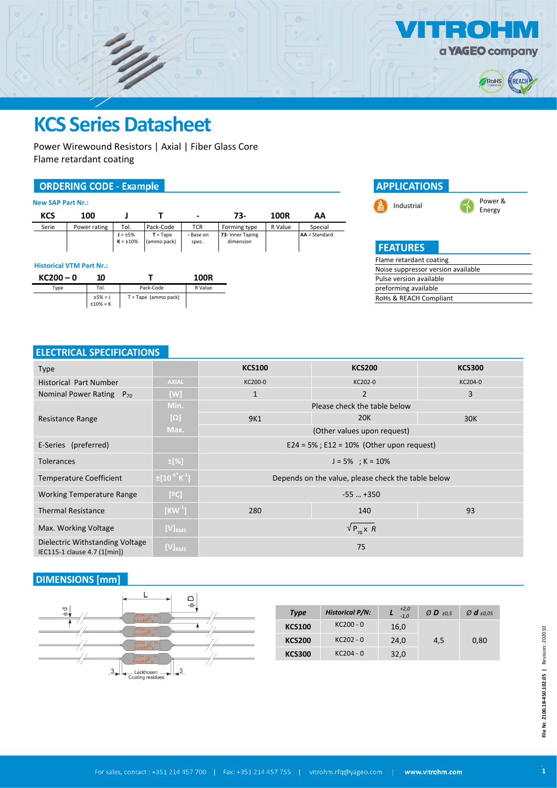

 $\bullet$ 



# **KCS Series Datasheet**

Power Wirewound Resistors | Axial | Fiber Glass Core Flame retardant coating

#### **ORDERING CODE - Example**

| <b>New SAP Part Nr.:</b> |       |              |                                 |                           |                    |                               |         |                 |
|--------------------------|-------|--------------|---------------------------------|---------------------------|--------------------|-------------------------------|---------|-----------------|
|                          | KCS   | 100          |                                 |                           | $\blacksquare$     | 73-                           | 100R    | АΑ              |
|                          | Serie | Power rating | Tol.                            | Pack-Code                 | <b>TCR</b>         | Forming type                  | R Value | Special         |
|                          |       |              | $J = \pm 5\%$<br>$K = \pm 10\%$ | $T = Tape$<br>(ammo pack) | - Base on<br>spec. | 73- Inner Taping<br>dimension |         | $AA = Standard$ |

#### **Historical VTM Part Nr.:**





#### **ELECTRICAL SPECIFICATIONS**

| <b>Type</b>                                                     |                                  | <b>KCS100</b>                                      | <b>KCS200</b>  | <b>KCS300</b> |  |  |  |
|-----------------------------------------------------------------|----------------------------------|----------------------------------------------------|----------------|---------------|--|--|--|
| <b>Historical Part Number</b>                                   | <b>AXIAL</b>                     | KC200-0                                            | KC202-0        | KC204-0       |  |  |  |
| Nominal Power Rating $P_{70}$                                   | [W]                              | $\mathbf{1}$                                       | $\overline{2}$ | 3             |  |  |  |
|                                                                 | Min.                             | Please check the table below                       |                |               |  |  |  |
| Resistance Range                                                | $[\Omega]$                       | 9K1                                                | <b>20K</b>     | 30K           |  |  |  |
|                                                                 | Max.                             | (Other values upon request)                        |                |               |  |  |  |
| E-Series (preferred)                                            |                                  | $E24 = 5\%$ ; $E12 = 10\%$ (Other upon request)    |                |               |  |  |  |
| <b>Tolerances</b>                                               | $\pm$ [%]                        | $J = 5\%$ ; K = 10%                                |                |               |  |  |  |
| <b>Temperature Coefficient</b>                                  | $\pm [10^{-6}$ K <sup>-1</sup> ] | Depends on the value, please check the table below |                |               |  |  |  |
| <b>Working Temperature Range</b>                                | [°C]                             | $-55$ $+350$                                       |                |               |  |  |  |
| <b>Thermal Resistance</b>                                       | $[KW^1]$                         | 280                                                | 140            | 93            |  |  |  |
| Max. Working Voltage                                            | [V] <sub>RMS</sub>               | $\sqrt{P_{70}X}$ R                                 |                |               |  |  |  |
| Dielectric Withstanding Voltage<br>IEC115-1 clause 4.7 (1[min]) | $[V]_{RMS}$                      | 75                                                 |                |               |  |  |  |

### **DIMENSIONS [mm]**



| <b>Type</b>   | <b>Historical P/N:</b> | $^{+2,0}_{-1,0}$ | $Ø$ <b>D</b> $\pm 0.5$ | $\varnothing$ d $\pm 0.05$ |  |  |
|---------------|------------------------|------------------|------------------------|----------------------------|--|--|
| <b>KCS100</b> | $KC200 - 0$            | 16,0             |                        |                            |  |  |
| <b>KCS200</b> | KC202 - 0              | 24,0             | 4,5                    | 0,80                       |  |  |
| <b>KCS300</b> | $KC204 - 0$            | 32,0             |                        |                            |  |  |
|               |                        |                  |                        |                            |  |  |